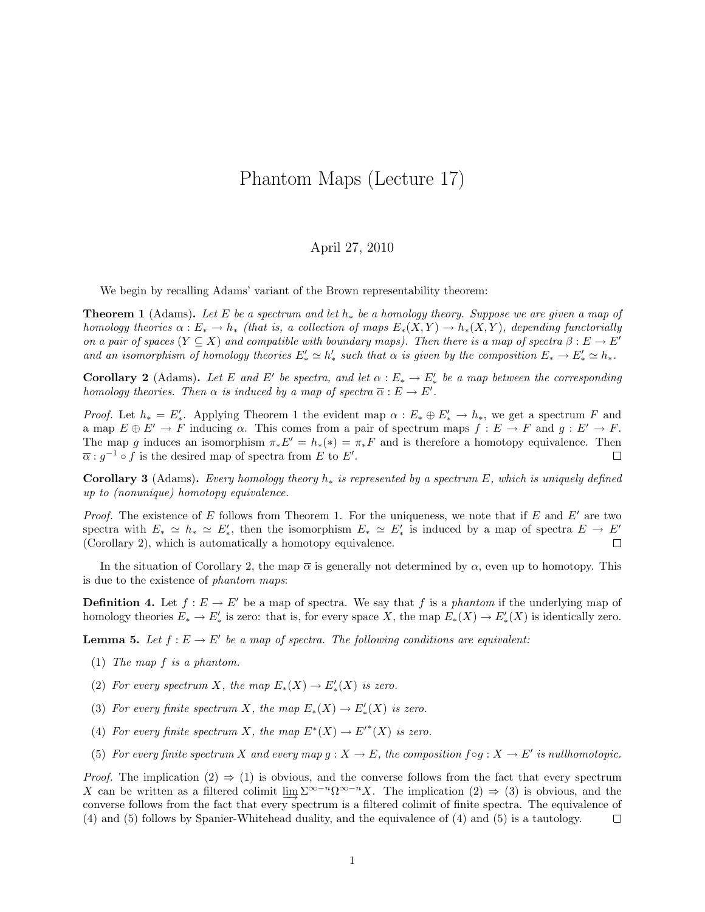## Phantom Maps (Lecture 17)

## April 27, 2010

We begin by recalling Adams' variant of the Brown representability theorem:

**Theorem 1** (Adams). Let E be a spectrum and let  $h_*$  be a homology theory. Suppose we are given a map of homology theories  $\alpha : E_* \to h_*$  (that is, a collection of maps  $E_*(X, Y) \to h_*(X, Y)$ , depending functorially on a pair of spaces  $(Y \subseteq X)$  and compatible with boundary maps). Then there is a map of spectra  $\beta : E \to E'$ and an isomorphism of homology theories  $E'_* \simeq h'_*$  such that  $\alpha$  is given by the composition  $E_* \to E'_* \simeq h_*$ .

**Corollary 2** (Adams). Let E and E' be spectra, and let  $\alpha : E_* \to E'_*$  be a map between the corresponding homology theories. Then  $\alpha$  is induced by a map of spectra  $\overline{\alpha}: E \to E'$ .

*Proof.* Let  $h_* = E'_*$ . Applying Theorem 1 the evident map  $\alpha : E_* \oplus E'_* \to h_*$ , we get a spectrum F and a map  $E \oplus E' \to F$  inducing  $\alpha$ . This comes from a pair of spectrum maps  $f : E \to F$  and  $g : E' \to F$ . The map g induces an isomorphism  $\pi_* E' = h_*(*) = \pi_* F$  and is therefore a homotopy equivalence. Then  $\overline{\alpha}$ :  $g^{-1} \circ f$  is the desired map of spectra from E to E'.  $\Box$ 

Corollary 3 (Adams). Every homology theory  $h_*$  is represented by a spectrum E, which is uniquely defined up to (nonunique) homotopy equivalence.

*Proof.* The existence of E follows from Theorem 1. For the uniqueness, we note that if E and E' are two spectra with  $E_* \simeq h_* \simeq E'_*$ , then the isomorphism  $E_* \simeq E'_*$  is induced by a map of spectra  $E \to E'$ (Corollary 2), which is automatically a homotopy equivalence.  $\Box$ 

In the situation of Corollary 2, the map  $\bar{\alpha}$  is generally not determined by  $\alpha$ , even up to homotopy. This is due to the existence of phantom maps:

**Definition 4.** Let  $f : E \to E'$  be a map of spectra. We say that f is a phantom if the underlying map of homology theories  $E_* \to E'_*$  is zero: that is, for every space X, the map  $E_*(X) \to E'_*(X)$  is identically zero.

**Lemma 5.** Let  $f : E \to E'$  be a map of spectra. The following conditions are equivalent:

- (1) The map f is a phantom.
- (2) For every spectrum X, the map  $E_*(X) \to E'_*(X)$  is zero.
- (3) For every finite spectrum X, the map  $E_*(X) \to E'_*(X)$  is zero.
- (4) For every finite spectrum X, the map  $E^*(X) \to E'^*(X)$  is zero.
- (5) For every finite spectrum X and every map  $g: X \to E$ , the composition  $f \circ g: X \to E'$  is nullhomotopic.

*Proof.* The implication  $(2) \Rightarrow (1)$  is obvious, and the converse follows from the fact that every spectrum X can be written as a filtered colimit  $\underline{\lim}_{\longrightarrow} \Sigma^{\infty-n} \Omega^{\infty-n} X$ . The implication  $(2) \Rightarrow (3)$  is obvious, and the converse follows from the fact that every spectrum is a filtered colimit of finite spectra. The equivalence of (4) and (5) follows by Spanier-Whitehead duality, and the equivalence of (4) and (5) is a tautology.  $\Box$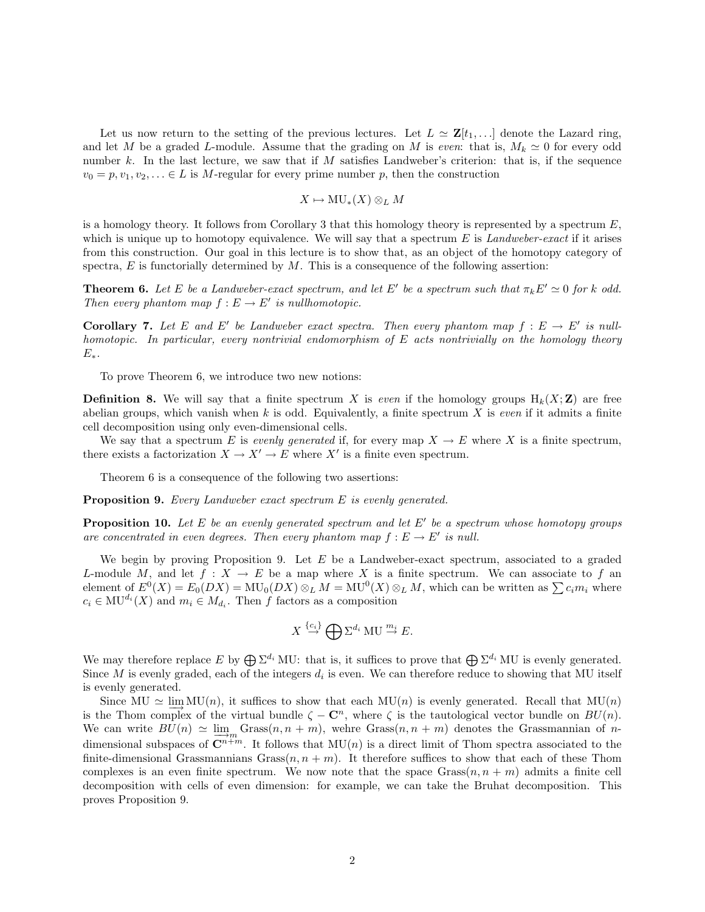Let us now return to the setting of the previous lectures. Let  $L \simeq \mathbf{Z}[t_1, \ldots]$  denote the Lazard ring, and let M be a graded L-module. Assume that the grading on M is even: that is,  $M_k \approx 0$  for every odd number k. In the last lecture, we saw that if M satisfies Landweber's criterion: that is, if the sequence  $v_0 = p, v_1, v_2, \ldots \in L$  is M-regular for every prime number p, then the construction

$$
X \mapsto MU_*(X) \otimes_L M
$$

is a homology theory. It follows from Corollary 3 that this homology theory is represented by a spectrum  $E$ , which is unique up to homotopy equivalence. We will say that a spectrum  $E$  is Landweber-exact if it arises from this construction. Our goal in this lecture is to show that, as an object of the homotopy category of spectra,  $E$  is functorially determined by  $M$ . This is a consequence of the following assertion:

**Theorem 6.** Let E be a Landweber-exact spectrum, and let E' be a spectrum such that  $\pi_k E' \simeq 0$  for k odd. Then every phantom map  $f: E \to E'$  is nullhomotopic.

**Corollary 7.** Let E and E' be Landweber exact spectra. Then every phantom map  $f : E \to E'$  is nullhomotopic. In particular, every nontrivial endomorphism of E acts nontrivially on the homology theory  $E_*$ .

To prove Theorem 6, we introduce two new notions:

**Definition 8.** We will say that a finite spectrum X is even if the homology groups  $H_k(X;\mathbf{Z})$  are free abelian groups, which vanish when k is odd. Equivalently, a finite spectrum X is even if it admits a finite cell decomposition using only even-dimensional cells.

We say that a spectrum E is evenly generated if, for every map  $X \to E$  where X is a finite spectrum, there exists a factorization  $X \to X' \to E$  where X' is a finite even spectrum.

Theorem 6 is a consequence of the following two assertions:

Proposition 9. Every Landweber exact spectrum E is evenly generated.

**Proposition 10.** Let E be an evenly generated spectrum and let E' be a spectrum whose homotopy groups are concentrated in even degrees. Then every phantom map  $f : E \to E'$  is null.

We begin by proving Proposition 9. Let  $E$  be a Landweber-exact spectrum, associated to a graded L-module M, and let  $f: X \to E$  be a map where X is a finite spectrum. We can associate to f an element of  $E^0(X) = E_0(DX) = MU_0(DX) \otimes_L M = MU^0(X) \otimes_L M$ , which can be written as  $\sum c_i m_i$  where  $c_i \in \text{MU}^{d_i}(X)$  and  $m_i \in M_{d_i}$ . Then f factors as a composition

$$
X \stackrel{\{c_i\}}{\to} \bigoplus \Sigma^{d_i} \text{MU} \stackrel{m_i}{\to} E.
$$

We may therefore replace E by  $\bigoplus \Sigma^{d_i}$  MU: that is, it suffices to prove that  $\bigoplus \Sigma^{d_i}$  MU is evenly generated. Since M is evenly graded, each of the integers  $d_i$  is even. We can therefore reduce to showing that MU itself is evenly generated.

Since MU  $\simeq \lim_{n \to \infty} MU(n)$ , it suffices to show that each  $MU(n)$  is evenly generated. Recall that  $MU(n)$ is the Thom complex of the virtual bundle  $\zeta - \mathbb{C}^n$ , where  $\zeta$  is the tautological vector bundle on  $BU(n)$ . We can write  $BU(n) \simeq \lim_{m \to \infty}$  Grass $(n, n + m)$ , wehre Grass $(n, n + m)$  denotes the Grassmannian of ndimensional subspaces of  $\mathbb{C}^{n+m}$ . It follows that  $\mathrm{MU}(n)$  is a direct limit of Thom spectra associated to the finite-dimensional Grassmannians  $Gras(n, n + m)$ . It therefore suffices to show that each of these Thom complexes is an even finite spectrum. We now note that the space  $Grass(n, n + m)$  admits a finite cell decomposition with cells of even dimension: for example, we can take the Bruhat decomposition. This proves Proposition 9.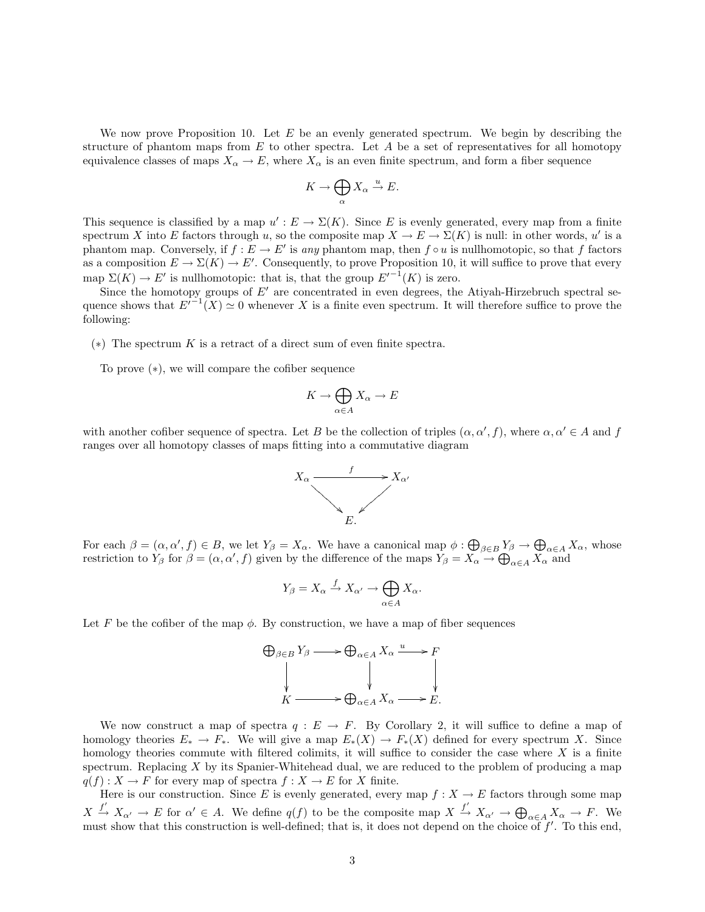We now prove Proposition 10. Let  $E$  be an evenly generated spectrum. We begin by describing the structure of phantom maps from  $E$  to other spectra. Let  $A$  be a set of representatives for all homotopy equivalence classes of maps  $X_{\alpha} \to E$ , where  $X_{\alpha}$  is an even finite spectrum, and form a fiber sequence

$$
K \to \bigoplus_{\alpha} X_{\alpha} \stackrel{u}{\to} E.
$$

This sequence is classified by a map  $u': E \to \Sigma(K)$ . Since E is evenly generated, every map from a finite spectrum X into E factors through u, so the composite map  $X \to E \to \Sigma(K)$  is null: in other words, u' is a phantom map. Conversely, if  $f : E \to E'$  is any phantom map, then  $f \circ u$  is nullhomotopic, so that f factors as a composition  $E \to \Sigma(K) \to E'$ . Consequently, to prove Proposition 10, it will suffice to prove that every map  $\Sigma(K) \to E'$  is nullhomotopic: that is, that the group  $E'^{-1}(K)$  is zero.

Since the homotopy groups of  $E'$  are concentrated in even degrees, the Atiyah-Hirzebruch spectral sequence shows that  $E^{(-1)}(X) \simeq 0$  whenever X is a finite even spectrum. It will therefore suffice to prove the following:

 $(*)$  The spectrum K is a retract of a direct sum of even finite spectra.

To prove (∗), we will compare the cofiber sequence

$$
K \to \bigoplus_{\alpha \in A} X_{\alpha} \to E
$$

with another cofiber sequence of spectra. Let B be the collection of triples  $(\alpha, \alpha', f)$ , where  $\alpha, \alpha' \in A$  and f ranges over all homotopy classes of maps fitting into a commutative diagram



For each  $\beta = (\alpha, \alpha', f) \in B$ , we let  $Y_{\beta} = X_{\alpha}$ . We have a canonical map  $\phi : \bigoplus_{\beta \in B} Y_{\beta} \to \bigoplus_{\alpha \in A} X_{\alpha}$ , whose restriction to  $Y_{\beta}$  for  $\beta = (\alpha, \alpha', f)$  given by the difference of the maps  $Y_{\beta} = X_{\alpha} \rightarrow \bigoplus_{\alpha \in A} X_{\alpha}$  and

$$
Y_{\beta} = X_{\alpha} \xrightarrow{f} X_{\alpha'} \to \bigoplus_{\alpha \in A} X_{\alpha}.
$$

Let F be the cofiber of the map  $\phi$ . By construction, we have a map of fiber sequences

$$
\bigoplus_{\beta \in B} Y_{\beta} \longrightarrow \bigoplus_{\alpha \in A} X_{\alpha} \xrightarrow{u} F
$$
  
\n
$$
\downarrow \qquad \qquad \downarrow \qquad \qquad \downarrow
$$
  
\n
$$
K \longrightarrow \bigoplus_{\alpha \in A} X_{\alpha} \longrightarrow E.
$$

We now construct a map of spectra  $q : E \to F$ . By Corollary 2, it will suffice to define a map of homology theories  $E_* \to F_*$ . We will give a map  $E_*(X) \to F_*(X)$  defined for every spectrum X. Since homology theories commute with filtered colimits, it will suffice to consider the case where  $X$  is a finite spectrum. Replacing  $X$  by its Spanier-Whitehead dual, we are reduced to the problem of producing a map  $q(f) : X \to F$  for every map of spectra  $f : X \to E$  for X finite.

Here is our construction. Since E is evenly generated, every map  $f: X \to E$  factors through some map  $X \xrightarrow{f'} X_{\alpha'} \to E$  for  $\alpha' \in A$ . We define  $q(f)$  to be the composite map  $X \xrightarrow{f'} X_{\alpha'} \to \bigoplus_{\alpha \in A} X_{\alpha} \to F$ . We must show that this construction is well-defined; that is, it does not depend on the choice of  $f'$ . To this end,